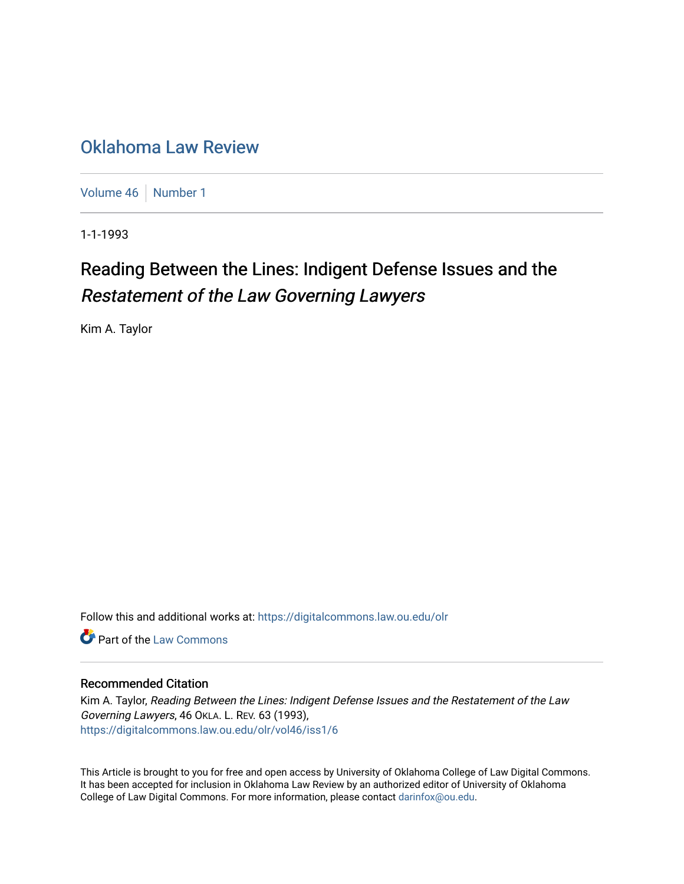## [Oklahoma Law Review](https://digitalcommons.law.ou.edu/olr)

[Volume 46](https://digitalcommons.law.ou.edu/olr/vol46) | [Number 1](https://digitalcommons.law.ou.edu/olr/vol46/iss1)

1-1-1993

# Reading Between the Lines: Indigent Defense Issues and the Restatement of the Law Governing Lawyers

Kim A. Taylor

Follow this and additional works at: [https://digitalcommons.law.ou.edu/olr](https://digitalcommons.law.ou.edu/olr?utm_source=digitalcommons.law.ou.edu%2Folr%2Fvol46%2Fiss1%2F6&utm_medium=PDF&utm_campaign=PDFCoverPages)

**C** Part of the [Law Commons](http://network.bepress.com/hgg/discipline/578?utm_source=digitalcommons.law.ou.edu%2Folr%2Fvol46%2Fiss1%2F6&utm_medium=PDF&utm_campaign=PDFCoverPages)

### Recommended Citation

Kim A. Taylor, Reading Between the Lines: Indigent Defense Issues and the Restatement of the Law Governing Lawyers, 46 OKLA. L. REV. 63 (1993), [https://digitalcommons.law.ou.edu/olr/vol46/iss1/6](https://digitalcommons.law.ou.edu/olr/vol46/iss1/6?utm_source=digitalcommons.law.ou.edu%2Folr%2Fvol46%2Fiss1%2F6&utm_medium=PDF&utm_campaign=PDFCoverPages) 

This Article is brought to you for free and open access by University of Oklahoma College of Law Digital Commons. It has been accepted for inclusion in Oklahoma Law Review by an authorized editor of University of Oklahoma College of Law Digital Commons. For more information, please contact [darinfox@ou.edu.](mailto:darinfox@ou.edu)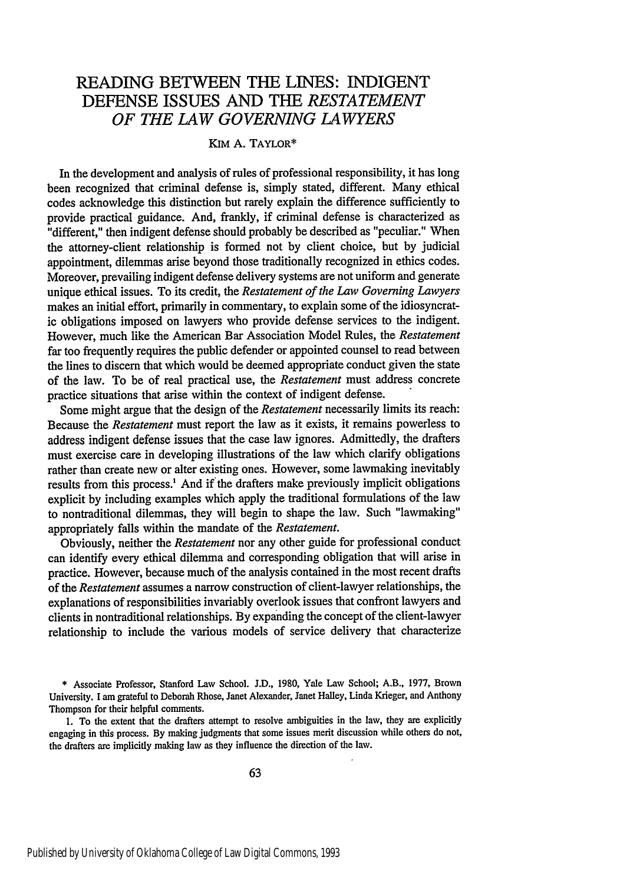## READING **BETWEEN THE** LINES: INDIGENT **DEFENSE ISSUES AND** THE *RESTATEMENT OF THE LAW GOVERNING LAWYERS*

#### KIM A. TAYLOR\*

In the development and analysis of rules of professional responsibility, it has long been recognized that criminal defense is, simply stated, different. Many ethical codes acknowledge this distinction but rarely explain the difference sufficiently to provide practical guidance. And, frankly, if criminal defense is characterized as "different," then indigent defense should probably be described as "peculiar." When the attorney-client relationship is formed not by client choice, but by judicial appointment, dilemmas arise beyond those traditionally recognized in ethics codes. Moreover, prevailing indigent defense delivery systems are not uniform and generate unique ethical issues. To its credit, the *Restatement of the Law Governing Lawyers* makes an initial effort, primarily in commentary, to explain some of the idiosyncratic obligations imposed on lawyers who provide defense services to the indigent. However, much like the American Bar Association Model Rules, the *Restatement* far too frequently requires the public defender or appointed counsel to read between the lines to discern that which would be deemed appropriate conduct given the state of the law. To be of real practical use, the *Restatement* must address concrete practice situations that arise within the context of indigent defense.

Some might argue that the design of the *Restatement* necessarily limits its reach: Because the *Restatement* must report the law as it exists, it remains powerless to address indigent defense issues that the case law ignores. Admittedly, the drafters must exercise care in developing illustrations of the law which clarify obligations rather than create new or alter existing ones. However, some lawmaking inevitably results from this process.<sup>1</sup> And if the drafters make previously implicit obligations explicit by including examples which apply the traditional formulations of the law to nontraditional dilemmas, they will begin to shape the law. Such "lawmaking" appropriately falls within the mandate of the *Restatement.*

Obviously, neither the *Restatement* nor any other guide for professional conduct can identify every ethical dilemma and corresponding obligation that will arise in practice. However, because much of the analysis contained in the most recent drafts of the *Restatement* assumes a narrow construction of client-lawyer relationships, the explanations of responsibilities invariably overlook issues that confront lawyers and clients in nontraditional relationships. By expanding the concept of the client-lawyer relationship to include the various models of service delivery that characterize

1. To the extent that the drafters attempt to resolve ambiguities in the law, they are explicitly engaging in this process. By making judgments that some issues merit discussion while others do not, the drafters are implicitly making law as they influence the direction of the law.

<sup>\*</sup> Associate Professor, Stanford Law School. J.D., 1980, Yale Law School; A.B., 1977, Brown University. I am grateful to Deborah Rhose, Janet Alexander, Janet Halley, Linda Krieger, and Anthony Thompson for their helpful comments.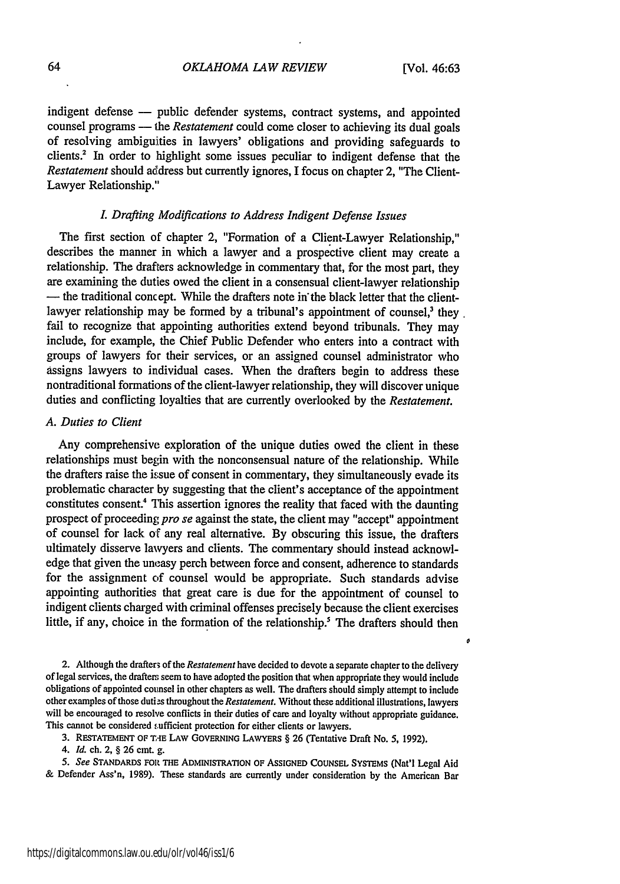$\mathfrak{o}$ 

indigent defense -- public defender systems, contract systems, and appointed counsel programs - the *Restatement* could come closer to achieving its dual goals of resolving ambiguities in lawyers' obligations and providing safeguards to clients.<sup>2</sup> In order to highlight some issues peculiar to indigent defense that the *Restatement* should address but currently ignores, I focus on chapter 2, "The Client-Lawyer Relationship."

#### *L Drafting Modifications to Address Indigent Defense Issues*

The first section of chapter 2, "Formation of a Client-Lawyer Relationship," describes the manner in which a lawyer and a prospective client may create a relationship. The drafters acknowledge in commentary that, for the most part, they are examining the duties owed the client in a consensual client-lawyer relationship **-** the traditional concept. While the drafters note in'the black letter that the clientlawyer relationship may be formed by a tribunal's appointment of counsel.<sup>3</sup> they fail to recognize that appointing authorities extend beyond tribunals. They may include, for example, the Chief Public Defender who enters into a contract with groups of lawyers for their services, or an assigned counsel administrator who assigns lawyers to individual cases. When the drafters begin to address these nontraditional formations of the client-lawyer relationship, they will discover unique duties and conflicting loyalties that are currently overlooked by the *Restatement.*

#### *A. Duties to Client*

Any comprehensive exploration of the unique duties owed the client in these relationships must begin with the nonconsensual nature of the relationship. While the drafters raise the issue of consent in commentary, they simultaneously evade its problematic character by suggesting that the client's acceptance of the appointment constitutes consent.<sup>4</sup> This assertion ignores the reality that faced with the daunting prospect of proceeding *pro se* against the state, the client may "accept" appointment of counsel for lack of any real alternative. By obscuring this issue, the drafters ultimately disserve lawyers and clients. The commentary should instead acknowledge that given the uneasy perch between force and consent, adherence to standards for the assignment of counsel would be appropriate. Such standards advise appointing authorities that great care is due for the appointment of counsel to indigent clients charged with criminal offenses precisely because the client exercises little, if any, choice in the formation of the relationship.<sup>5</sup> The drafters should then

2. Although the drafter of the *Restatement* have decided to devote a separate chapter to the delivery of legal services, the drafters seem to have adopted the position that when appropriate they would include obligations of appointed counsel in other chapters as well. The drafters should simply attempt to include other examples of those duties throughout the *Restatement*. Without these additional illustrations, lawyers will be encouraged to resolve conflicts in their duties of care and loyalty without appropriate guidance. This cannot be considered sufficient protection for either clients or lawyers.

**3. REsTATEMENT** OF **T,E LAW GOVERNING** LAWYERS § 26 (Tentative Draft No. 5, 1992).

*4. Id.* ch. 2, § 26 cmt. g.

*5. See* **STANDARDS FOit THE** ADMINISTRATION OF ASSIGNED **COUNSEL** SYSTEMS (Nat'l Legal Aid & Defender Ass'n, 1989). These standards are currently under consideration by the American Bar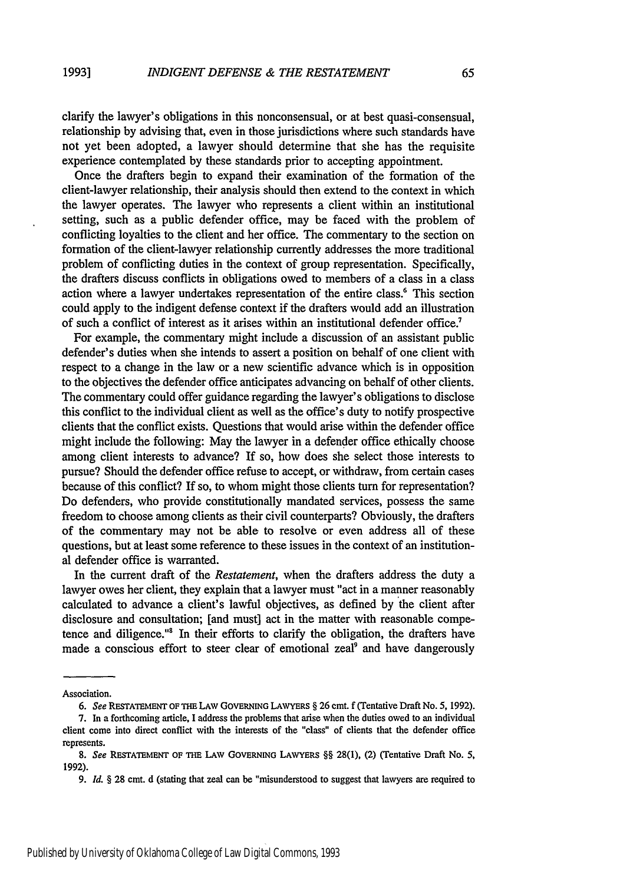clarify the lawyer's obligations in this nonconsensual, or at best quasi-consensual, relationship by advising that, even in those jurisdictions where such standards have not yet been adopted, a lawyer should determine that she has the requisite experience contemplated by these standards prior to accepting appointment.

Once the drafters begin to expand their examination of the formation of the client-lawyer relationship, their analysis should then extend to the context in which the lawyer operates. The lawyer who represents a client within an institutional setting, such as a public defender office, may be faced with the problem of conflicting loyalties to the client and her office. The commentary to the section on formation of the client-lawyer relationship currently addresses the more traditional problem of conflicting duties in the context of group representation. Specifically, the drafters discuss conflicts in obligations owed to members of a class in a class action where a lawyer undertakes representation of the entire class.<sup>6</sup> This section could apply to the indigent defense context if the drafters would add an illustration of such a conflict of interest as it arises within an institutional defender office.<sup>7</sup>

For example, the commentary might include a discussion of an assistant public defender's duties when she intends to assert a position on behalf of one client with respect to a change in the law or a new scientific advance which is in opposition to the objectives the defender office anticipates advancing on behalf of other clients. The commentary could offer guidance regarding the lawyer's obligations to disclose this conflict to the individual client as well as the office's duty to notify prospective clients that the conflict exists. Questions that would arise within the defender office might include the following: May the lawyer in a defender office ethically choose among client interests to advance? If so, how does she select those interests to pursue? Should the defender office refuse to accept, or withdraw, from certain cases because of this conflict? If so, to whom might those clients turn for representation? Do defenders, who provide constitutionally mandated services, possess the same freedom to choose among clients as their civil counterparts? Obviously, the drafters of the commentary may not be able to resolve or even address all of these questions, but at least some reference to these issues in the context of an institutional defender office is warranted.

In the current draft of the *Restatement,* when the drafters address the duty a lawyer owes her client, they explain that a lawyer must "act in a manner reasonably calculated to advance a client's lawful objectives, as defined by the client after disclosure and consultation; [and must] act in the matter with reasonable competence and diligence."' In their efforts to clarify the obligation, the drafters have made a conscious effort to steer clear of emotional zeal<sup>9</sup> and have dangerously

Association.

*<sup>6.</sup> See* **RESTATEMENT** OF **THE** LAW **GOVERNING LAWYERS** § **26** cmt. **f** (Tentative Draft No. **5, 1992).**

<sup>7.</sup> In a forthcoming article, I address the problems that arise when the duties owed to an individual client come into direct conflict with the interests of the "class" of clients that the defender office represents.

*<sup>8.</sup> See* **RESTATEMENT OF THE** LAW **GOVERNING LAWYERS** §§ **28(1), (2)** (Tentative Draft **No. 5, 1992).**

**<sup>9.</sup>** *Id. §* **28 cmt. d** (stating that zeal **can** be "misunderstood to suggest that lawyers are required to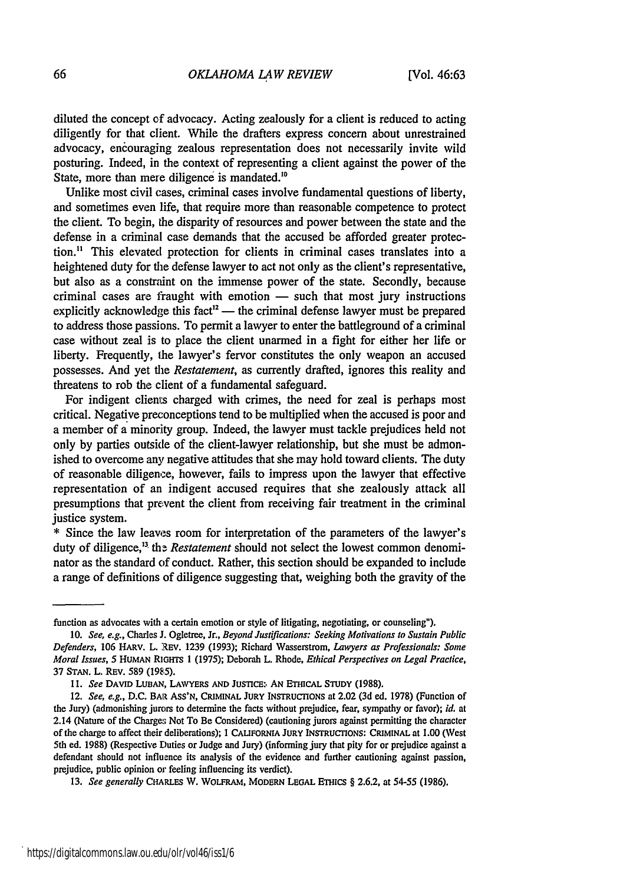diluted the concept cf advocacy. Acting zealously for a client is reduced to acting diligently for that client. While the drafters express concern about unrestrained advocacy, enciouraging zealous representation does not necessarily invite wild posturing. Indeed, in the context of representing a client against the power of the State, more than mere diligence is mandated.<sup>10</sup>

Unlike most civil cases, criminal cases involve fundamental questions of liberty, and sometimes even life, that require more than reasonable competence to protect the client. To begin, the disparity of resources and power between the state and the defense in a criminal case demands that the accused be afforded greater protection." This elevated protection for clients in criminal cases translates into a heightened duty for the defense lawyer to act not only as the client's representative, but also as a constraint on the immense power of the state. Secondly, because  $c$ riminal cases are fraught with emotion  $-$  such that most jury instructions explicitly acknowledge this fact<sup>12</sup> — the criminal defense lawyer must be prepared to address those passions. To permit a lawyer to enter the battleground of a criminal case without zeal is to place the client unarmed in a fight for either her life or liberty. Frequently, the lawyer's fervor constitutes the only weapon an accused possesses. And yet the *Restatement,* as currently drafted, ignores this reality and threatens to rob the client of a fundamental safeguard.

For indigent clients charged with crimes, the need for zeal is perhaps most critical. Negative preconceptions tend to be multiplied when the accused is poor and a member of a minority group. Indeed, the lawyer must tackle prejudices held not only by parties outside of the client-lawyer relationship, but she must be admonished to overcome any negative attitudes that she may hold toward clients. The duty of reasonable diligence, however, falls to impress upon the lawyer that effective representation of an indigent accused requires that she zealously attack all presumptions that prevent the client from receiving fair treatment in the criminal justice system.

**\*** Since the law leaves room for interpretation of the parameters of the lawyer's duty of diligence,<sup>13</sup> the *Restatement* should not select the lowest common denominator as the standard of conduct. Rather, this section should be expanded to include a range of definitions of diligence suggesting that, weighing both the gravity of the

function as advocates with a certain emotion or style of litigating, negotiating, or counseling").

<sup>10.</sup> *See, e.g.,* Charles J. Ogletree, Jr., *Beyond Justifications: Seeking Motivations to Sustain Public Defenders,* 106 HARv. L. REV. 1239 (1993); Richard Wasserstrom, *Lawyers as Professionals: Some Moral Issues, 5* HUMAN RIams 1 (1975); Deborah L. Rhode, *Ethical Perspectives on Legal Practice,* 37 STAN. L. REV. 589 **(1985).**

**<sup>11.</sup>** *See* **DAVID LUBAN,** LAWYERS **AND** JusncE:. **AN** ETHICAL **STUDY (1988).**

<sup>12.</sup> *See, e.g., D.C. BAR ASS'N, CRIMINAL JURY INSTRUCTIONS at 2.02 (3d ed. 1978) (Function of* the Jury) (admonishing jurors to determine the facts without prejudice, fear, sympathy or favor); *id.* at 2.14 (Nature of the Charges Not To Be Considered) (cautioning jurors against permitting the character of the charge to affect their deliberations); **1 CALIFORNIA JURY INsTRUCTIONS: CRIMINAL** at **1.00** (West 5th ed. **1988)** (Respective Duties or Judge and Jury) (informing jury that pity for or prejudice against a defendant should not influence its analysis of the evidence and further cautioning against passion, prejudice, public opinion or feeling influencing its verdict).

**<sup>13.</sup>** *See generally* CHARLES W. WOLFRAM, **MODERN LEGAL ETHics** § **2.6.2,** at 54-55 **(1986).**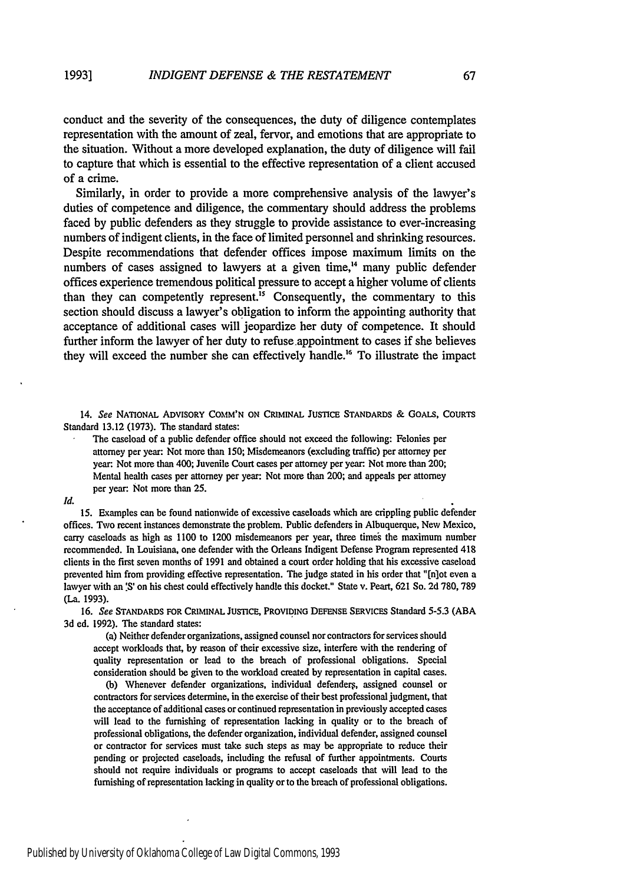conduct and the severity of the consequences, the duty of diligence contemplates representation with the amount of zeal, fervor, and emotions that are appropriate to the situation. Without a more developed explanation, the duty of diligence will fail to capture that which is essential to the effective representation of a client accused of a crime.

Similarly, in order to provide a more comprehensive analysis of the lawyer's duties of competence and diligence, the commentary should address the problems faced by public defenders as they struggle to provide assistance to ever-increasing numbers of indigent clients, in the face of limited personnel and shrinking resources. Despite recommendations that defender offices impose maximum limits on the numbers of cases assigned to lawyers at a given time,<sup>14</sup> many public defender offices experience tremendous political pressure to accept a higher volume of clients than they can competently represent.<sup>15</sup> Consequently, the commentary to this section should discuss a lawyer's obligation to inform the appointing authority that acceptance of additional cases will jeopardize her duty of competence. It should further inform the lawyer of her duty to refuse.appointment to cases if she believes they will exceed the number she can effectively handle.<sup>16</sup> To illustrate the impact

14. *See* **NATIONAL ADVISORY COMM'N ON CRIMINAL JUSTICE STANDARDS** & **GOALS, COURTS** Standard **13.12 (1973).** The standard states:

The caseload of a public defender office should not exceed the following: Felonies per attorney per year: Not more than **150;** Misdemeanors (excluding traffic) per attorney per year: Not more than 400; Juvenile Court cases per attorney per year: Not more than 200; Mental health cases per attorney per year: Not more than 200; and appeals per attorney per year: Not more than **25.**

*Id.*

**15.** Examples can be found nationwide of excessive caseloads which are crippling public defender offices. Two recent instances demonstrate the problem. Public defenders in Albuquerque, New Mexico, carry caseloads as high as **1100** to 1200 misdemeanors per year, three time' the maximum number recommended. In Louisiana, one defender with the Orleans Indigent Defense Program represented 418 clients in the first seven months of **1991** and obtained a court order holding that his excessive caseload prevented him from providing effective representation. The judge stated in his order that "[nlot even a lawyer with an **'S'** on his chest could effectively handle this docket." State v. Peart, 621 So. **2d 780,789** (La. **1993).**

**16.** *See* **STANDARDS FOR CRIMINAL JUSTICE, PROVIDING DEFENSE SERVICES** Standard **5-5.3 (ABA 3d** ed. **1992).** The standard states:

(a) Neither defender organizations, assigned counsel nor contractors for services should accept workloads that, **by** reason of their excessive size, interfere with the rendering of quality representation or lead to the breach of professional obligations. Special consideration should be given to the workload created by representation in capital cases.

**(b)** Whenever defender organizations, individual defenders, assigned counsel or contractors for services determine, in the exercise of their best professional judgment, that the acceptance of additional cases or continued representation in previously accepted cases will lead to the furnishing of representation lacking in quality or to the breach of professional obligations, the defender organization, individual defender, assigned counsel or contractor for services must take such steps as may be appropriate to reduce their pending or projected caseloads, including the refusal of further appointments. Courts should not require individuals or programs to accept caseloads that will lead to the furnishing of representation lacking in quality or to the breach of professional obligations.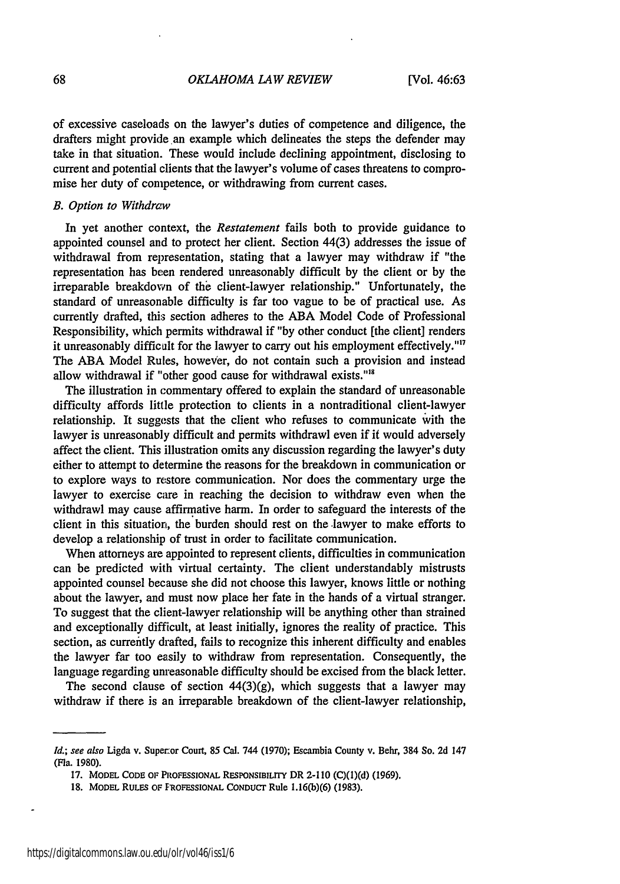of excessive caseloads on the lawyer's duties of competence and diligence, the drafters might provide an example which delineates the steps the defender may take in that situation. These would include declining appointment, disclosing to current and potential clients that the lawyer's volume of cases threatens to compromise her duty of competence, or withdrawing from current cases.

#### B. Option to Withdraw

In yet another context, the *Restatement* fails both to provide guidance to appointed counsel and to protect her client. Section 44(3) addresses the issue of withdrawal from representation, stating that a lawyer may withdraw if "the representation has been rendered unreasonably difficult by the client or by the irreparable breakdown of the client-lawyer relationship." Unfortunately, the standard of unreasonable difficulty is far too vague to be of practical use. As currently drafted, this section adheres to the ABA Model Code of Professional Responsibility, which permits withdrawal if "by other conduct [the client] renders it unreasonably difficalt for the lawyer to carry out his employment effectively."17 The **ABA** Model Rules, however, do not contain such a provision and instead allow withdrawal if "other good cause for withdrawal exists."<sup>18</sup>

The illustration in commentary offered to explain the standard of unreasonable difficulty affords little protection to clients in a nontraditional client-lawyer relationship. It suggests that the client who refuses to communicate with the lawyer is unreasonably difficult and permits withdrawl even if it would adversely affect the client. This illustration omits any discussion regarding the lawyer's duty either to attempt to determine the reasons for the breakdown in communication or to explore ways to restore communication. Nor does the commentary urge the lawyer to exercise care in reaching the decision to withdraw even when the withdrawl may cause affirmative harm. In order to safeguard the interests of the client in this situation, the burden should rest on the lawyer to make efforts to develop a relationship of trust in order to facilitate communication.

When attorneys are appointed to represent clients, difficulties in communication can be predicted with virtual certainty. The client understandably mistrusts appointed counsel because she did not choose this lawyer, knows little or nothing about the lawyer, and must now place her fate in the hands of a virtual stranger. To suggest that the client-lawyer relationship will be anything other than strained and exceptionally difficult, at least initially, ignores the reality of practice. This section, as currently drafted, fails to recognize this inherent difficulty and enables the lawyer far too easily to withdraw from representation. Consequently, the language regarding unreasonable difficulty should be excised from the black letter.

The second clause of section  $44(3)(g)$ , which suggests that a lawyer may withdraw if there is an irreparable breakdown of the client-lawyer relationship,

*Id.;* see also Ligda v. Superor Court, **85** Cal. 744 **(1970);** Escambia County v. Behr, 384 So. **2d** 147 (Fla. 1980).

**<sup>17.</sup>** MODEL CODE **or** PROFESSIONAL RESPONSIBILITY DR 2-110 (C)(1)(d) (1969).

<sup>18.</sup> MODEL RULES **OF PROFESSIONAL** CONDUCT Rule 1.16(b)(6) (1983).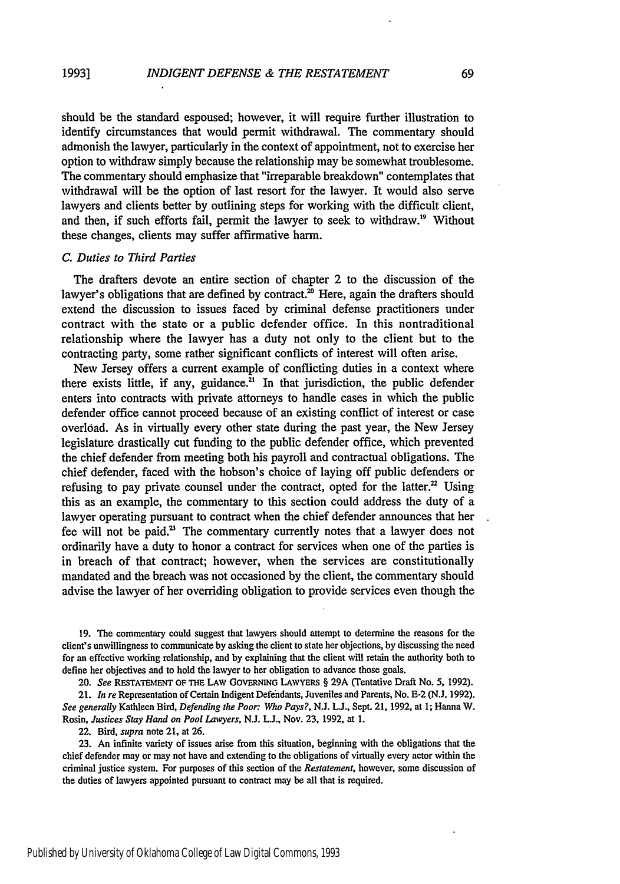should be the standard espoused; however, it will require further illustration to identify circumstances that would permit withdrawal. The commentary should admonish the lawyer, particularly in the context of appointment, not to exercise her option to withdraw simply because the relationship may be somewhat troublesome. The commentary should emphasize that "irreparable breakdown" contemplates that withdrawal will be the option of last resort for the lawyer. It would also serve lawyers and clients better by outlining steps for working with the difficult client, and then, if such efforts fail, permit the lawyer to seek to withdraw.'9 Without these changes, clients may suffer affirmative harm.

#### *C. Duties to Third Parties*

The drafters devote an entire section of chapter 2 to the discussion of the lawyer's obligations that are defined by contract.<sup>20</sup> Here, again the drafters should extend the discussion to issues faced by criminal defense practitioners under contract with the state or a public defender office. In this nontraditional relationship where the lawyer has a duty not only to the client but to the contracting party, some rather significant conflicts of interest will often arise.

New Jersey offers a current example of conflicting duties in a context where there exists little, if any, guidance. $^{21}$  In that jurisdiction, the public defender enters into contracts with private attorneys to handle cases in which the public defender office cannot proceed because of an existing conflict of interest or case overload. As in virtually every other state during the past year, the New Jersey legislature drastically cut funding to the public defender office, which prevented the chief defender from meeting both his payroll and contractual obligations. The chief defender, faced with the hobson's choice of laying off public defenders or refusing to pay private counsel under the contract, opted for the latter.<sup>22</sup> Using this as an example, the commentary to this section could address the duty of a lawyer operating pursuant to contract when the chief defender announces that her fee will not be paid.<sup>23</sup> The commentary currently notes that a lawyer does not ordinarily have a duty to honor a contract for services when one of the parties is in breach of that contract; however, when the services are constitutionally mandated and the breach was not occasioned by the client, the commentary should advise the lawyer of her overriding obligation to provide services even though the

**19.** The commentary could suggest that lawyers should attempt to determine the reasons for the client's unwillingness to communicate by asking the client to state her objections, by discussing the need for an effective working relationship, and by explaining that the client will retain the authority both to define her objectives and to hold the lawyer to her obligation to advance those goals.

20. *See* **REsTATEmENT** OF THE LAW **GOVERNING** LAWYERS § **29A** (Tentative Draft No. 5, 1992).

21. *In re* Representation of Certain Indigent Defendants, Juveniles and Parents, No. **E-2** (N.J. 1992). *See generally* Kathleen Bird, *Defending the Poor: Who Pays?,* N.J. L., Sept. 21, 1992, at 1; Hanna W. Rosin, *Justices Stay Hand on Pool Lawyers,* N.J. L.J., Nov. 23, 1992, at 1.

22, Bird, *supra* note 21, at 26.

23. An infinite variety of issues arise from this situation, beginning with the obligations that the chief defender may or may not have and extending to the obligations of virtually every actor within the criminal justice system. For purposes of this section of the *Restatement,* however, some discussion of the duties of lawyers appointed pursuant to contract may be all that is required.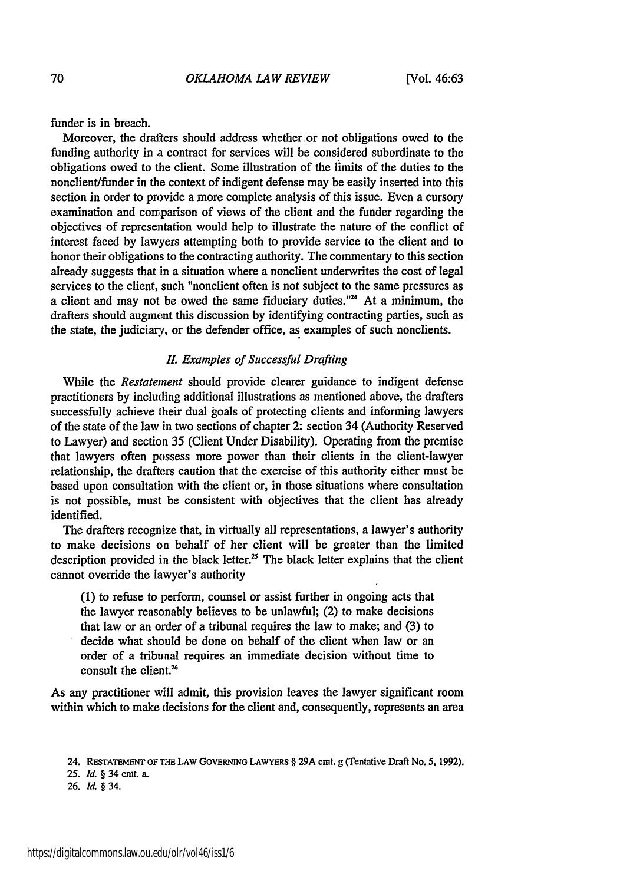funder is in breach.

Moreover, the drafters should address whether or not obligations owed to the funding authority in a contract for services will be considered subordinate to the obligations owed to the client. Some illustration of the limits of the duties to the nonclient/funder in the context of indigent defense may be easily inserted into this section in order to provide a more complete analysis of this issue. Even a cursory examination and comparison of views of the client and the funder regarding the objectives of representation would help to illustrate the nature of the conflict of interest faced by lawyers attempting both to provide service to the client and to honor their obligations to the contracting authority. The commentary to this section already suggests that in a situation where a nonclient underwrites the cost of legal services to the client, such "nonclient often is not subject to the same pressures as a client and may not be owed the same fiduciary duties."<sup>24</sup> At a minimum, the drafters should augment this discussion by identifying contracting parties, such as the state, the judiciary, or the defender office, as examples of such nonclients.

#### **1.** *Examples of Successful Drafting*

While the *Restatement* should provide clearer guidance to indigent defense practitioners by including additional illustrations as mentioned above, the drafters successfully achieve their dual goals of protecting clients and informing lawyers of the state of the law in two sections of chapter 2: section 34 (Authority Reserved to Lawyer) and section 35 (Client Under Disability). Operating from the premise that lawyers often possess more power than their clients in the client-lawyer relationship, the drafters caution that the exercise of this authority either must be based upon consultation with the client or, in those situations where consultation is not possible, must be consistent with objectives that the client has already identified.

The drafters recognize that, in virtually all representations, a lawyer's authority to make decisions on behalf of her client will be greater than the limited description provided in the black letter.<sup>25</sup> The black letter explains that the client cannot override the lawyer's authority

**(1)** to refuse to perform, counsel or assist further in ongoing acts that the lawyer reasonably believes to be unlawful; (2) to make decisions that law or an order of a tribunal requires the law to make; and (3) to decide what should be done on behalf of the client when law or an order of a tribunal requires an immediate decision without time to consult the client.<sup>26</sup>

As any practitioner will admit, this provision leaves the lawyer significant room within which to make decisions for the client and, consequently, represents an area

**<sup>24.</sup> RESTATEMENT OFT-E LAw GOVERNING LAWYERS** § **29A** cmt. **g** (Tentative **Draft No. 5, 1992).**

**<sup>25.</sup> Id.** *§* 34 cmt. a.

<sup>26.</sup> **Id.** *§* 34.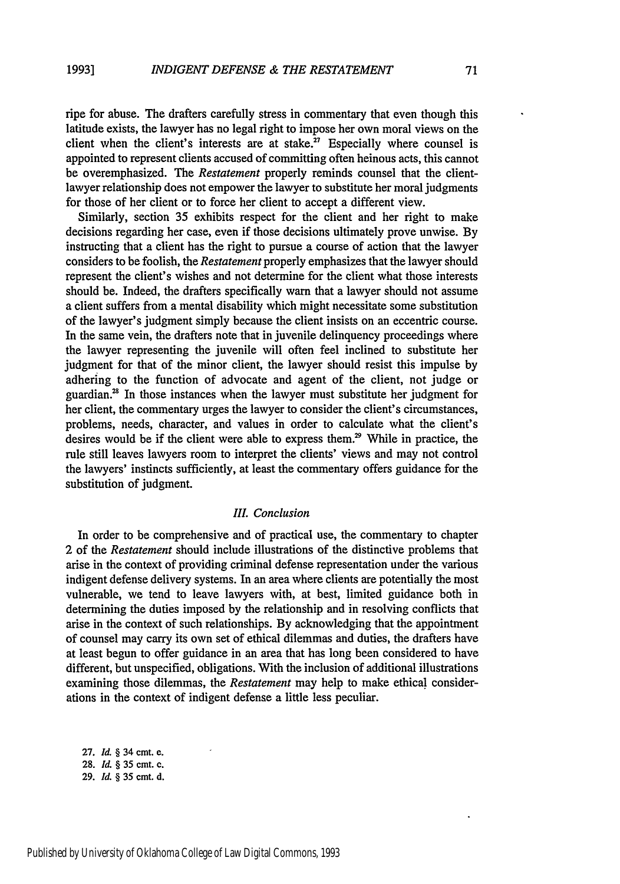ripe for abuse. The drafters carefully stress in commentary that even though this latitude exists, the lawyer has no legal right to impose her own moral views on the client when the client's interests are at stake. $27$  Especially where counsel is appointed to represent clients accused of committing often heinous acts, this cannot be overemphasized. The *Restatement* properly reminds counsel that the clientlawyer relationship does not empower the lawyer to substitute her moral judgments for those of her client or to force her client to accept a different view.

Similarly, section 35 exhibits respect for the client and her right to make decisions regarding her case, even if those decisions ultimately prove unwise. By instructing that a client has the right to pursue a course of action that the lawyer considers to be foolish, the *Restatement* properly emphasizes that the lawyer should represent the client's wishes and not determine for the client what those interests should be. Indeed, the drafters specifically warn that a lawyer should not assume a client suffers from a mental disability which might necessitate some substitution of the lawyer's judgment simply because the client insists on an eccentric course. In the same vein, the drafters note that in juvenile delinquency proceedings where the lawyer representing the juvenile will often feel inclined to substitute her judgment for that of the minor client, the lawyer should resist this impulse by adhering to the function of advocate and agent of the client, not judge or guardian. $2<sup>8</sup>$  In those instances when the lawyer must substitute her judgment for her client, the commentary urges the lawyer to consider the client's circumstances, problems, needs, character, and values in order to calculate what the client's desires would be if the client were able to express them.<sup>29</sup> While in practice, the rule still leaves lawyers room to interpret the clients' views and may not control the lawyers' instincts sufficiently, at least the commentary offers guidance for the substitution of judgment.

#### *11. Conclusion*

In order to be comprehensive and of practical use, the commentary to chapter 2 of the *Restatement* should include illustrations of the distinctive problems that arise in the context of providing criminal defense representation under the various indigent defense delivery systems. In an area where clients are potentially the most vulnerable, we tend to leave lawyers with, at best, limited guidance both in determining the duties imposed by the relationship and in resolving conflicts that arise in the context of such relationships. By acknowledging that the appointment of counsel may carry its own set of ethical dilemmas and duties, the drafters have at least begun to offer guidance in an area that has long been considered to have different, but unspecified, obligations. With the inclusion of additional illustrations examining those dilemmas, the *Restatement* may help to make ethical considerations in the context of indigent defense a little less peculiar.

**27.** *Id. §* 34 cmt. e. **28.** *Il §* **35 cmt. c. 29.** *Id. §* **35** cmt. **d.**